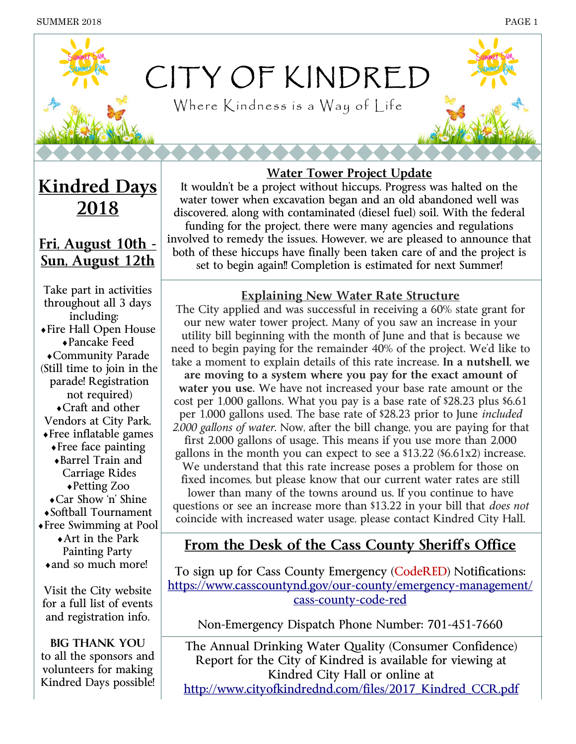

Where Kindness is a Way of Life

**Kindred Days 2018** 

## **Fri, August 10th - Sun, August 12th**

Take part in activities throughout all 3 days including: Fire Hall Open House Pancake Feed Community Parade (Still time to join in the parade! Registration not required) Craft and other Vendors at City Park, Free inflatable games Free face painting Barrel Train and Carriage Rides Petting Zoo Car Show 'n' Shine Softball Tournament Free Swimming at Pool Art in the Park Painting Party • and so much more!

Visit the City website for a full list of events and registration info.

**BIG THANK YOU** to all the sponsors and volunteers for making Kindred Days possible!

#### **Water Tower Project Update**

It wouldn't be a project without hiccups. Progress was halted on the water tower when excavation began and an old abandoned well was discovered, along with contaminated (diesel fuel) soil. With the federal funding for the project, there were many agencies and regulations involved to remedy the issues. However, we are pleased to announce that both of these hiccups have finally been taken care of and the project is set to begin again!! Completion is estimated for next Summer!

#### **Explaining New Water Rate Structure**

The City applied and was successful in receiving a 60% state grant for our new water tower project. Many of you saw an increase in your utility bill beginning with the month of June and that is because we need to begin paying for the remainder 40% of the project. We'd like to take a moment to explain details of this rate increase. **In a nutshell, we are moving to a system where you pay for the exact amount of water you use.** We have not increased your base rate amount or the cost per 1,000 gallons. What you pay is a base rate of \$28.23 plus \$6.61 per 1,000 gallons used. The base rate of \$28.23 prior to June *included 2,000 gallons of water*. Now, after the bill change, you are paying for that first 2,000 gallons of usage. This means if you use more than 2,000 gallons in the month you can expect to see a \$13.22 (\$6.61x2) increase. We understand that this rate increase poses a problem for those on fixed incomes, but please know that our current water rates are still lower than many of the towns around us. If you continue to have questions or see an increase more than \$13.22 in your bill that *does not* coincide with increased water usage, please contact Kindred City Hall.

## From the Desk of the Cass County Sheriff's Office

To sign up for Cass County Emergency (CodeRED) Notifications: https://www.casscountynd.gov/our-county/emergency-management/ cass-county-code-red

Non-Emergency Dispatch Phone Number: 701-451-7660

The Annual Drinking Water Quality (Consumer Confidence) Report for the City of Kindred is available for viewing at Kindred City Hall or online at [http://www.cityofkindrednd.com/files/2017\\_Kindred\\_CCR.pdf](http://www.cityofkindrednd.com/files/2017_Kindred_CCR.pdf)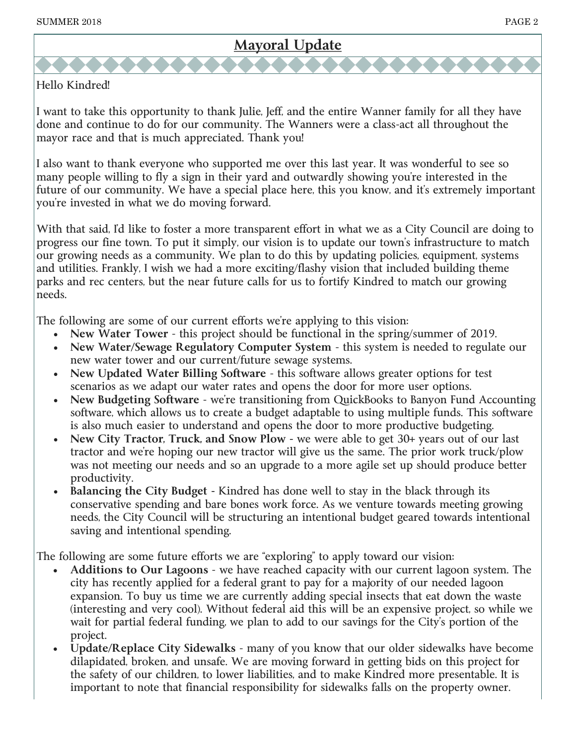## **Mayoral Update**

#### Hello Kindred!

I want to take this opportunity to thank Julie, Jeff, and the entire Wanner family for all they have done and continue to do for our community. The Wanners were a class-act all throughout the mayor race and that is much appreciated. Thank you!

I also want to thank everyone who supported me over this last year. It was wonderful to see so many people willing to fly a sign in their yard and outwardly showing you're interested in the future of our community. We have a special place here, this you know, and it's extremely important you're invested in what we do moving forward.

With that said, I'd like to foster a more transparent effort in what we as a City Council are doing to progress our fine town. To put it simply, our vision is to update our town's infrastructure to match our growing needs as a community. We plan to do this by updating policies, equipment, systems and utilities. Frankly, I wish we had a more exciting/flashy vision that included building theme parks and rec centers, but the near future calls for us to fortify Kindred to match our growing needs.

The following are some of our current efforts we're applying to this vision:

- **New Water Tower**  this project should be functional in the spring/summer of 2019.
- New Water/Sewage Regulatory Computer System this system is needed to regulate our new water tower and our current/future sewage systems.
- **New Updated Water Billing Software**  this software allows greater options for test scenarios as we adapt our water rates and opens the door for more user options.
- **New Budgeting Software**  we're transitioning from QuickBooks to Banyon Fund Accounting software, which allows us to create a budget adaptable to using multiple funds. This software is also much easier to understand and opens the door to more productive budgeting.
- **New City Tractor, Truck, and Snow Plow -** we were able to get 30+ years out of our last tractor and we're hoping our new tractor will give us the same. The prior work truck/plow was not meeting our needs and so an upgrade to a more agile set up should produce better productivity.
- **Balancing the City Budget -** Kindred has done well to stay in the black through its conservative spending and bare bones work force. As we venture towards meeting growing needs, the City Council will be structuring an intentional budget geared towards intentional saving and intentional spending.

The following are some future efforts we are "exploring" to apply toward our vision:

- **Additions to Our Lagoons**  we have reached capacity with our current lagoon system. The city has recently applied for a federal grant to pay for a majority of our needed lagoon expansion. To buy us time we are currently adding special insects that eat down the waste (interesting and very cool). Without federal aid this will be an expensive project, so while we wait for partial federal funding, we plan to add to our savings for the City's portion of the project.
- **Update/Replace City Sidewalks**  many of you know that our older sidewalks have become dilapidated, broken, and unsafe. We are moving forward in getting bids on this project for the safety of our children, to lower liabilities, and to make Kindred more presentable. It is important to note that financial responsibility for sidewalks falls on the property owner.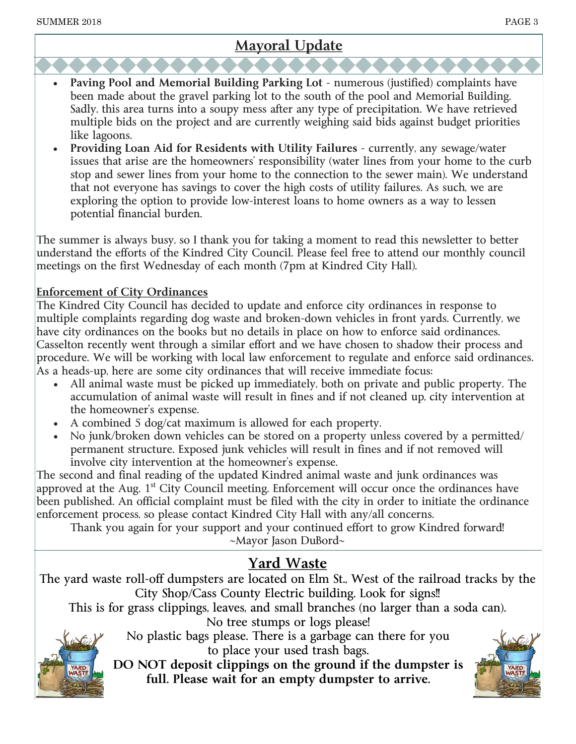## **Mayoral Update**

- **Paving Pool and Memorial Building Parking Lot**  numerous (justified) complaints have been made about the gravel parking lot to the south of the pool and Memorial Building. Sadly, this area turns into a soupy mess after any type of precipitation. We have retrieved multiple bids on the project and are currently weighing said bids against budget priorities like lagoons.
- **Providing Loan Aid for Residents with Utility Failures**  currently, any sewage/water issues that arise are the homeowners' responsibility (water lines from your home to the curb stop and sewer lines from your home to the connection to the sewer main). We understand that not everyone has savings to cover the high costs of utility failures. As such, we are exploring the option to provide low-interest loans to home owners as a way to lessen potential financial burden.

The summer is always busy, so I thank you for taking a moment to read this newsletter to better understand the efforts of the Kindred City Council. Please feel free to attend our monthly council meetings on the first Wednesday of each month (7pm at Kindred City Hall).

#### **Enforcement of City Ordinances**

The Kindred City Council has decided to update and enforce city ordinances in response to multiple complaints regarding dog waste and broken-down vehicles in front yards. Currently, we have city ordinances on the books but no details in place on how to enforce said ordinances. Casselton recently went through a similar effort and we have chosen to shadow their process and procedure. We will be working with local law enforcement to regulate and enforce said ordinances. As a heads-up, here are some city ordinances that will receive immediate focus:

- All animal waste must be picked up immediately, both on private and public property. The accumulation of animal waste will result in fines and if not cleaned up, city intervention at the homeowner's expense.
- A combined 5 dog/cat maximum is allowed for each property.
- No junk/broken down vehicles can be stored on a property unless covered by a permitted/ permanent structure. Exposed junk vehicles will result in fines and if not removed will involve city intervention at the homeowner's expense.

The second and final reading of the updated Kindred animal waste and junk ordinances was approved at the Aug.  $1<sup>st</sup>$  City Council meeting. Enforcement will occur once the ordinances have been published. An official complaint must be filed with the city in order to initiate the ordinance enforcement process, so please contact Kindred City Hall with any/all concerns.

Thank you again for your support and your continued effort to grow Kindred forward! ~Mayor Jason DuBord~

### **Yard Waste**

The yard waste roll-off dumpsters are located on Elm St., West of the railroad tracks by the City Shop/Cass County Electric building. Look for signs!!

This is for grass clippings, leaves, and small branches (no larger than a soda can).

No tree stumps or logs please!



No plastic bags please. There is a garbage can there for you to place your used trash bags.

**DO NOT deposit clippings on the ground if the dumpster is full. Please wait for an empty dumpster to arrive.**